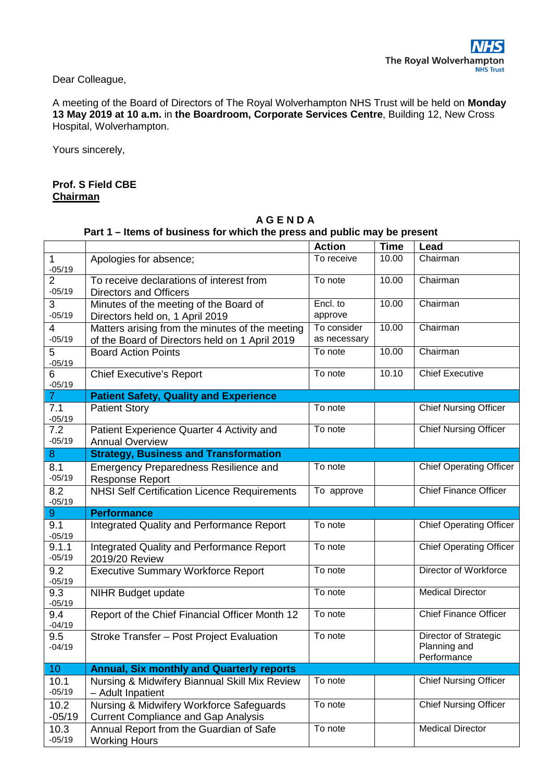Dear Colleague,

A meeting of the Board of Directors of The Royal Wolverhampton NHS Trust will be held on **Monday 13 May 2019 at 10 a.m.** in **the Boardroom, Corporate Services Centre**, Building 12, New Cross Hospital, Wolverhampton.

Yours sincerely,

## **Prof. S Field CBE Chairman**

|                            |                                                                                                   | <b>Action</b>               | <b>Time</b> | Lead                                                 |
|----------------------------|---------------------------------------------------------------------------------------------------|-----------------------------|-------------|------------------------------------------------------|
| $-05/19$                   | Apologies for absence;                                                                            | To receive                  | 10.00       | Chairman                                             |
| $\overline{2}$<br>$-05/19$ | To receive declarations of interest from<br><b>Directors and Officers</b>                         | To note                     | 10.00       | Chairman                                             |
| 3<br>$-05/19$              | Minutes of the meeting of the Board of<br>Directors held on, 1 April 2019                         | Encl. to<br>approve         | 10.00       | Chairman                                             |
| $\overline{4}$<br>$-05/19$ | Matters arising from the minutes of the meeting<br>of the Board of Directors held on 1 April 2019 | To consider<br>as necessary | 10.00       | Chairman                                             |
| 5<br>$-05/19$              | <b>Board Action Points</b>                                                                        | To note                     | 10.00       | Chairman                                             |
| 6<br>$-05/19$              | <b>Chief Executive's Report</b>                                                                   | To note                     | 10.10       | <b>Chief Executive</b>                               |
| $\mathbf{7}$               | <b>Patient Safety, Quality and Experience</b>                                                     |                             |             |                                                      |
| 7.1<br>$-05/19$            | <b>Patient Story</b>                                                                              | To note                     |             | <b>Chief Nursing Officer</b>                         |
| 7.2<br>$-05/19$            | Patient Experience Quarter 4 Activity and<br><b>Annual Overview</b>                               | To note                     |             | <b>Chief Nursing Officer</b>                         |
| 8                          | <b>Strategy, Business and Transformation</b>                                                      |                             |             |                                                      |
| 8.1<br>$-05/19$            | <b>Emergency Preparedness Resilience and</b><br><b>Response Report</b>                            | To note                     |             | <b>Chief Operating Officer</b>                       |
| 8.2<br>$-05/19$            | <b>NHSI Self Certification Licence Requirements</b>                                               | To approve                  |             | <b>Chief Finance Officer</b>                         |
| 9                          | <b>Performance</b>                                                                                |                             |             |                                                      |
| 9.1<br>$-05/19$            | <b>Integrated Quality and Performance Report</b>                                                  | To note                     |             | <b>Chief Operating Officer</b>                       |
| 9.1.1<br>$-05/19$          | Integrated Quality and Performance Report<br>2019/20 Review                                       | To note                     |             | <b>Chief Operating Officer</b>                       |
| 9.2<br>$-05/19$            | <b>Executive Summary Workforce Report</b>                                                         | To note                     |             | Director of Workforce                                |
| 9.3<br>$-05/19$            | <b>NIHR Budget update</b>                                                                         | To note                     |             | <b>Medical Director</b>                              |
| 9.4<br>$-04/19$            | Report of the Chief Financial Officer Month 12                                                    | To note                     |             | <b>Chief Finance Officer</b>                         |
| 9.5<br>$-04/19$            | Stroke Transfer - Post Project Evaluation                                                         | To note                     |             | Director of Strategic<br>Planning and<br>Performance |
| 10 <sub>1</sub>            | <b>Annual, Six monthly and Quarterly reports</b>                                                  |                             |             |                                                      |
| 10.1<br>$-05/19$           | Nursing & Midwifery Biannual Skill Mix Review<br>- Adult Inpatient                                | To note                     |             | <b>Chief Nursing Officer</b>                         |
| 10.2<br>$-05/19$           | Nursing & Midwifery Workforce Safeguards<br><b>Current Compliance and Gap Analysis</b>            | To note                     |             | <b>Chief Nursing Officer</b>                         |
| 10.3<br>$-05/19$           | Annual Report from the Guardian of Safe<br><b>Working Hours</b>                                   | To note                     |             | <b>Medical Director</b>                              |

## **A G E N D A Part 1 – Items of business for which the press and public may be present**